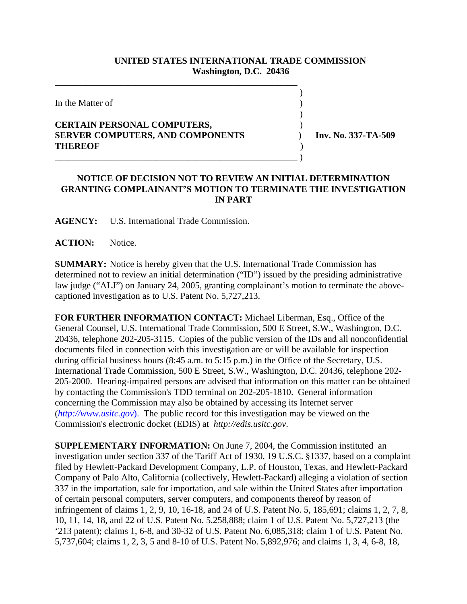## **UNITED STATES INTERNATIONAL TRADE COMMISSION Washington, D.C. 20436**

 $\overline{\phantom{a}}$ 

 $\overline{\phantom{a}}$ 

In the Matter of  $\blacksquare$ 

## **CERTAIN PERSONAL COMPUTERS,** ) **SERVER COMPUTERS, AND COMPONENTS** ) **Inv. No. 337-TA-509 THEREOF** )

\_\_\_\_\_\_\_\_\_\_\_\_\_\_\_\_\_\_\_\_\_\_\_\_\_\_\_\_\_\_\_\_\_\_\_\_\_\_\_\_\_\_\_\_\_\_\_\_\_\_\_\_\_

\_\_\_\_\_\_\_\_\_\_\_\_\_\_\_\_\_\_\_\_\_\_\_\_\_\_\_\_\_\_\_\_\_\_\_\_\_\_\_\_\_\_\_\_\_\_\_\_\_\_\_\_\_ )

## **NOTICE OF DECISION NOT TO REVIEW AN INITIAL DETERMINATION GRANTING COMPLAINANT'S MOTION TO TERMINATE THE INVESTIGATION IN PART**

**AGENCY:** U.S. International Trade Commission.

ACTION: Notice.

**SUMMARY:** Notice is hereby given that the U.S. International Trade Commission has determined not to review an initial determination ("ID") issued by the presiding administrative law judge ("ALJ") on January 24, 2005, granting complainant's motion to terminate the abovecaptioned investigation as to U.S. Patent No. 5,727,213.

**FOR FURTHER INFORMATION CONTACT:** Michael Liberman, Esq., Office of the General Counsel, U.S. International Trade Commission, 500 E Street, S.W., Washington, D.C. 20436, telephone 202-205-3115. Copies of the public version of the IDs and all nonconfidential documents filed in connection with this investigation are or will be available for inspection during official business hours (8:45 a.m. to 5:15 p.m.) in the Office of the Secretary, U.S. International Trade Commission, 500 E Street, S.W., Washington, D.C. 20436, telephone 202- 205-2000. Hearing-impaired persons are advised that information on this matter can be obtained by contacting the Commission's TDD terminal on 202-205-1810. General information concerning the Commission may also be obtained by accessing its Internet server (*http://www.usitc.gov*). The public record for this investigation may be viewed on the Commission's electronic docket (EDIS) at *http://edis.usitc.gov*.

**SUPPLEMENTARY INFORMATION:** On June 7, 2004, the Commission instituted an investigation under section 337 of the Tariff Act of 1930, 19 U.S.C. §1337, based on a complaint filed by Hewlett-Packard Development Company, L.P. of Houston, Texas, and Hewlett-Packard Company of Palo Alto, California (collectively, Hewlett-Packard) alleging a violation of section 337 in the importation, sale for importation, and sale within the United States after importation of certain personal computers, server computers, and components thereof by reason of infringement of claims 1, 2, 9, 10, 16-18, and 24 of U.S. Patent No. 5, 185,691; claims 1, 2, 7, 8, 10, 11, 14, 18, and 22 of U.S. Patent No. 5,258,888; claim 1 of U.S. Patent No. 5,727,213 (the '213 patent); claims 1, 6-8, and 30-32 of U.S. Patent No. 6,085,318; claim 1 of U.S. Patent No. 5,737,604; claims 1, 2, 3, 5 and 8-10 of U.S. Patent No. 5,892,976; and claims 1, 3, 4, 6-8, 18,